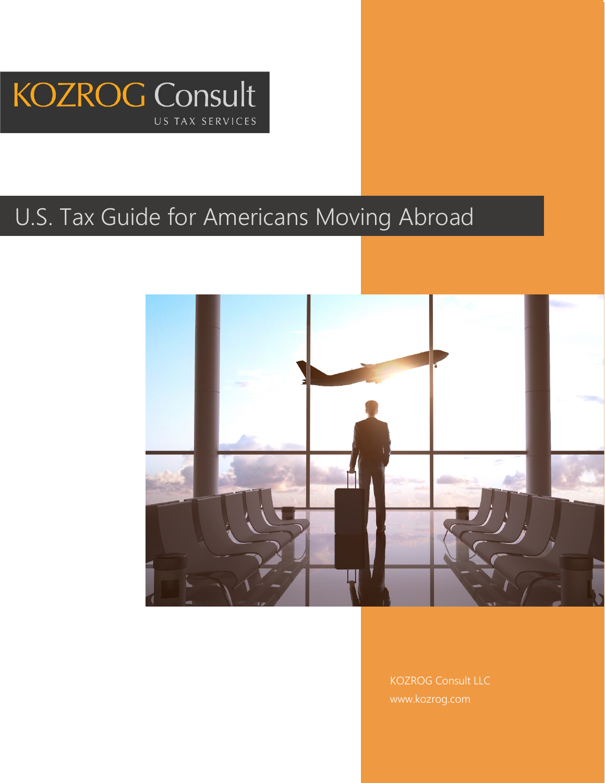

# U.S. Tax Guide for Americans Moving Abroad



KOZROG Consult LLC www.kozrog.com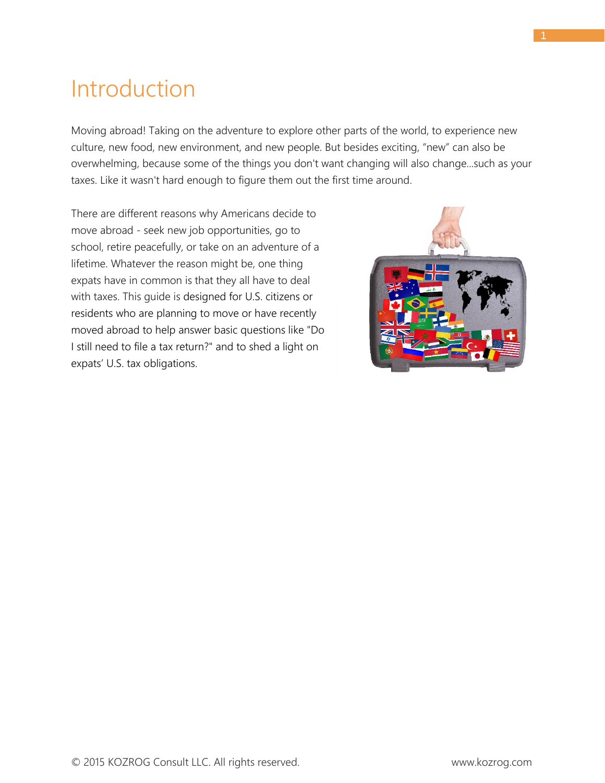### <span id="page-1-0"></span>Introduction

Moving abroad! Taking on the adventure to explore other parts of the world, to experience new culture, new food, new environment, and new people. But besides exciting, "new" can also be overwhelming, because some of the things you don't want changing will also change...such as your taxes. Like it wasn't hard enough to figure them out the first time around.

There are different reasons why Americans decide to move abroad - seek new job opportunities, go to school, retire peacefully, or take on an adventure of a lifetime. Whatever the reason might be, one thing expats have in common is that they all have to deal with taxes. This guide is designed for U.S. citizens or residents who are planning to move or have recently moved abroad to help answer basic questions like "Do I still need to file a tax return?" and to shed a light on expats' U.S. tax obligations.

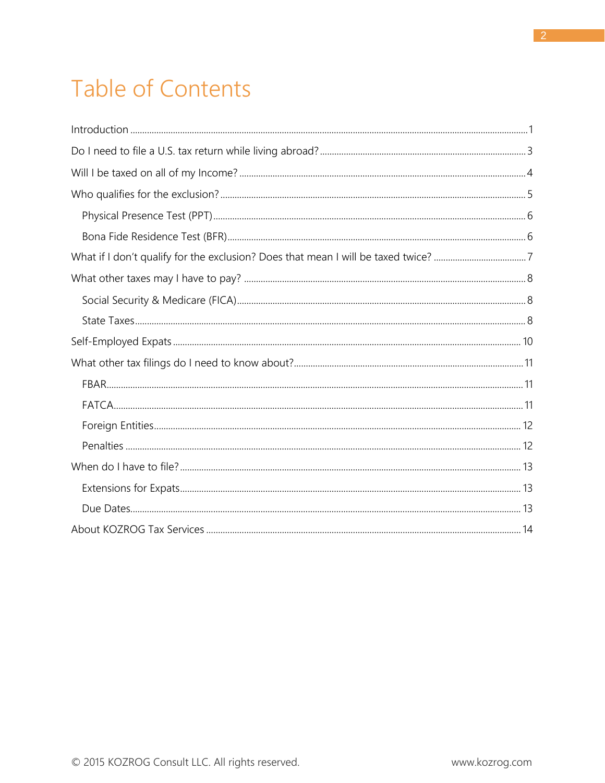# Table of Contents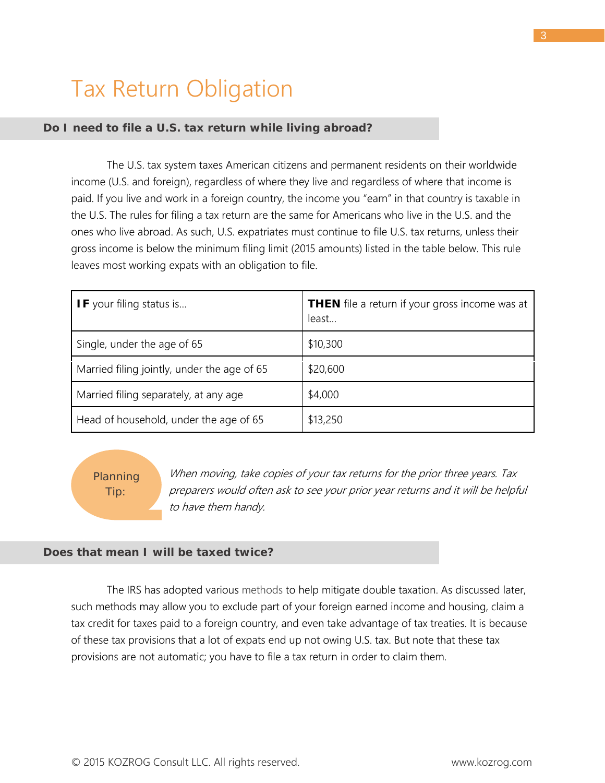## <span id="page-3-0"></span>Tax Return Obligation

### *Do I need to file a U.S. tax return while living abroad?*

The U.S. tax system taxes American citizens and permanent residents on their worldwide income (U.S. and foreign), regardless of where they live and regardless of where that income is paid. If you live and work in a foreign country, the income you "earn" in that country is taxable in the U.S. The rules for filing a tax return are the same for Americans who live in the U.S. and the ones who live abroad. As such, U.S. expatriates must continue to file U.S. tax returns, unless their gross income is below the minimum filing limit (2015 amounts) listed in the table below. This rule leaves most working expats with an obligation to file.

| <b>IF</b> your filing status is             | <b>THEN</b> file a return if your gross income was at<br>least |
|---------------------------------------------|----------------------------------------------------------------|
| Single, under the age of 65                 | \$10,300                                                       |
| Married filing jointly, under the age of 65 | \$20,600                                                       |
| Married filing separately, at any age       | \$4,000                                                        |
| Head of household, under the age of 65      | \$13,250                                                       |

Planning Tip:

When moving, take copies of your tax returns for the prior three years. Tax preparers would often ask to see your prior year returns and it will be helpful to have them handy.

### *Does that mean I will be taxed twice?*

The IRS has adopted various methods to help mitigate double taxation. As discussed later, such methods may allow you to exclude part of your foreign earned income and housing, claim a tax credit for taxes paid to a foreign country, and even take advantage of tax treaties. It is because of these tax provisions that a lot of expats end up not owing U.S. tax. But note that these tax provisions are not automatic; you have to file a tax return in order to claim them.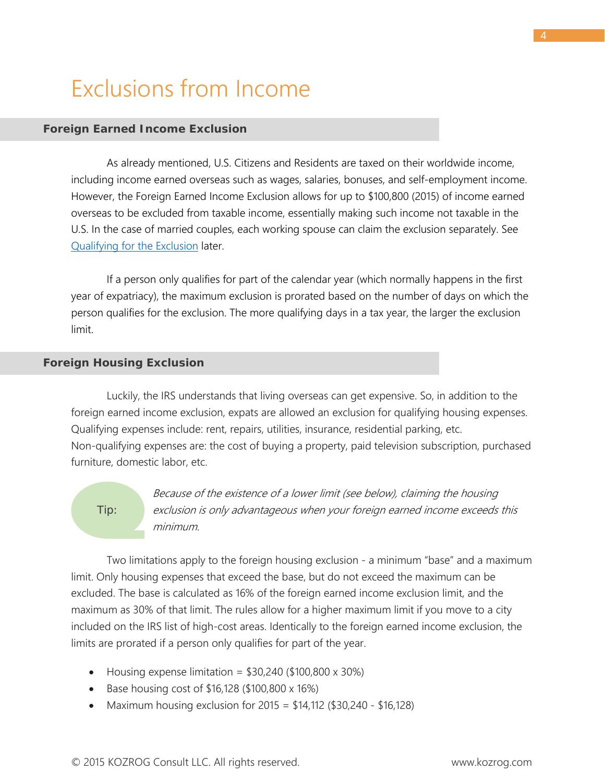## <span id="page-4-0"></span>Exclusions from Income

### *Foreign Earned Income Exclusion*

As already mentioned, U.S. Citizens and Residents are taxed on their worldwide income, including income earned overseas such as wages, salaries, bonuses, and self-employment income. However, the Foreign Earned Income Exclusion allows for up to \$100,800 (2015) of income earned overseas to be excluded from taxable income, essentially making such income not taxable in the U.S. In the case of married couples, each working spouse can claim the exclusion separately. See [Qualifying for the Exclusion](#page-5-0) later.

If a person only qualifies for part of the calendar year (which normally happens in the first year of expatriacy), the maximum exclusion is prorated based on the number of days on which the person qualifies for the exclusion. The more qualifying days in a tax year, the larger the exclusion limit.

#### *Foreign Housing Exclusion*

Luckily, the IRS understands that living overseas can get expensive. So, in addition to the foreign earned income exclusion, expats are allowed an exclusion for qualifying housing expenses. Qualifying expenses include: rent, repairs, utilities, insurance, residential parking, etc. Non-qualifying expenses are: the cost of buying a property, paid television subscription, purchased furniture, domestic labor, etc.

#### Tip:

Because of the existence of a lower limit (see below), claiming the housing exclusion is only advantageous when your foreign earned income exceeds this minimum.

Two limitations apply to the foreign housing exclusion - a minimum "base" and a maximum limit. Only housing expenses that exceed the base, but do not exceed the maximum can be excluded. The base is calculated as 16% of the foreign earned income exclusion limit, and the maximum as 30% of that limit. The rules allow for a higher maximum limit if you move to a city included on the IRS list of high-cost areas. Identically to the foreign earned income exclusion, the limits are prorated if a person only qualifies for part of the year.

- Housing expense limitation =  $$30,240$  (\$100,800 x 30%)
- Base housing cost of \$16,128 (\$100,800 x 16%)
- Maximum housing exclusion for  $2015 = $14,112$  (\$30,240 \$16,128)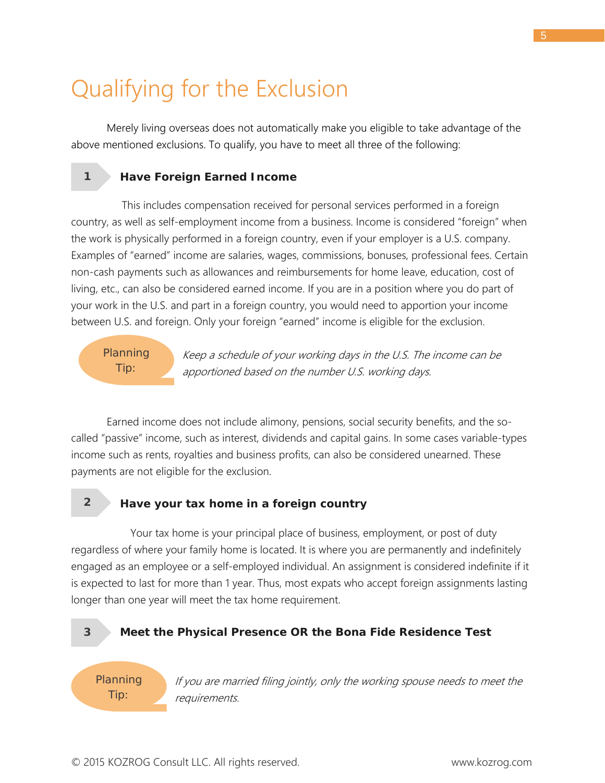## <span id="page-5-0"></span>Qualifying for the Exclusion

Merely living overseas does not automatically make you eligible to take advantage of the above mentioned exclusions. To qualify, you have to meet all three of the following:

### **Have Foreign Earned Income**

 This includes compensation received for personal services performed in a foreign country, as well as self-employment income from a business. Income is considered "foreign" when the work is physically performed in a foreign country, even if your employer is a U.S. company. Examples of "earned" income are salaries, wages, commissions, bonuses, professional fees. Certain non-cash payments such as allowances and reimbursements for home leave, education, cost of living, etc., can also be considered earned income. If you are in a position where you do part of your work in the U.S. and part in a foreign country, you would need to apportion your income between U.S. and foreign. Only your foreign "earned" income is eligible for the exclusion.

### Planning Tip:

Keep a schedule of your working days in the U.S. The income can be apportioned based on the number U.S. working days.

Earned income does not include alimony, pensions, social security benefits, and the socalled "passive" income, such as interest, dividends and capital gains. In some cases variable-types income such as rents, royalties and business profits, can also be considered unearned. These payments are not eligible for the exclusion.

**2**

**1**

### **Have your tax home in a foreign country**

 Your tax home is your principal place of business, employment, or post of duty regardless of where your family home is located. It is where you are permanently and indefinitely engaged as an employee or a self-employed individual. An assignment is considered indefinite if it is expected to last for more than 1 year. Thus, most expats who accept foreign assignments lasting longer than one year will meet the tax home requirement.

**3**

### **Meet the Physical Presence OR the Bona Fide Residence Test**

Planning Tip:

If you are married filing jointly, only the working spouse needs to meet the requirements.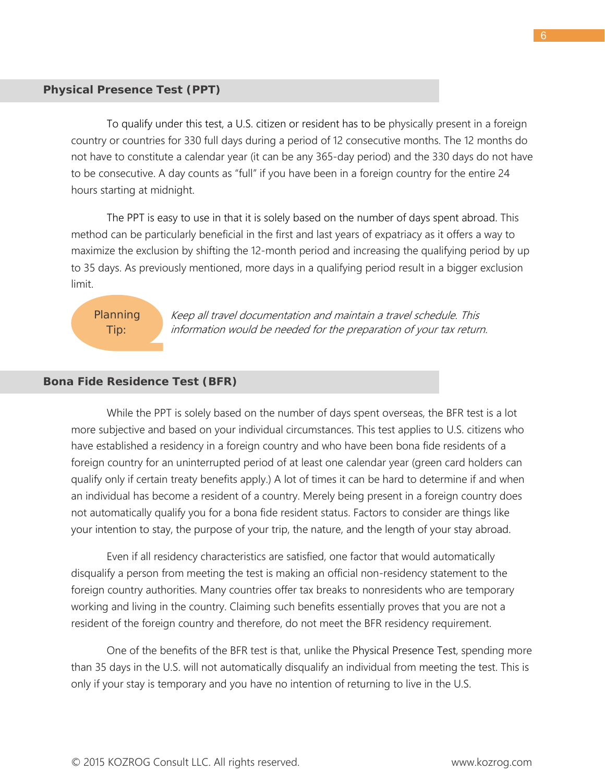#### *Physical Presence Test (PPT)*

<span id="page-6-0"></span>To qualify under this test, a U.S. citizen or resident has to be physically present in a foreign country or countries for 330 full days during a period of 12 consecutive months. The 12 months do not have to constitute a calendar year (it can be any 365-day period) and the 330 days do not have to be consecutive. A day counts as "full" if you have been in a foreign country for the entire 24 hours starting at midnight.

The PPT is easy to use in that it is solely based on the number of days spent abroad. This method can be particularly beneficial in the first and last years of expatriacy as it offers a way to maximize the exclusion by shifting the 12-month period and increasing the qualifying period by up to 35 days. As previously mentioned, more days in a qualifying period result in a bigger exclusion limit.

### Planning Tip:

Keep all travel documentation and maintain a travel schedule. This information would be needed for the preparation of your tax return.

#### *Bona Fide Residence Test (BFR)*

<span id="page-6-1"></span>While the PPT is solely based on the number of days spent overseas, the BFR test is a lot more subjective and based on your individual circumstances. This test applies to U.S. citizens who have established a residency in a foreign country and who have been bona fide residents of a foreign country for an uninterrupted period of at least one calendar year (green card holders can qualify only if certain treaty benefits apply.) A lot of times it can be hard to determine if and when an individual has become a resident of a country. Merely being present in a foreign country does not automatically qualify you for a bona fide resident status. Factors to consider are things like your intention to stay, the purpose of your trip, the nature, and the length of your stay abroad.

Even if all residency characteristics are satisfied, one factor that would automatically disqualify a person from meeting the test is making an official non-residency statement to the foreign country authorities. Many countries offer tax breaks to nonresidents who are temporary working and living in the country. Claiming such benefits essentially proves that you are not a resident of the foreign country and therefore, do not meet the BFR residency requirement.

One of the benefits of the BFR test is that, unlike the Physical Presence Test, spending more than 35 days in the U.S. will not automatically disqualify an individual from meeting the test. This is only if your stay is temporary and you have no intention of returning to live in the U.S.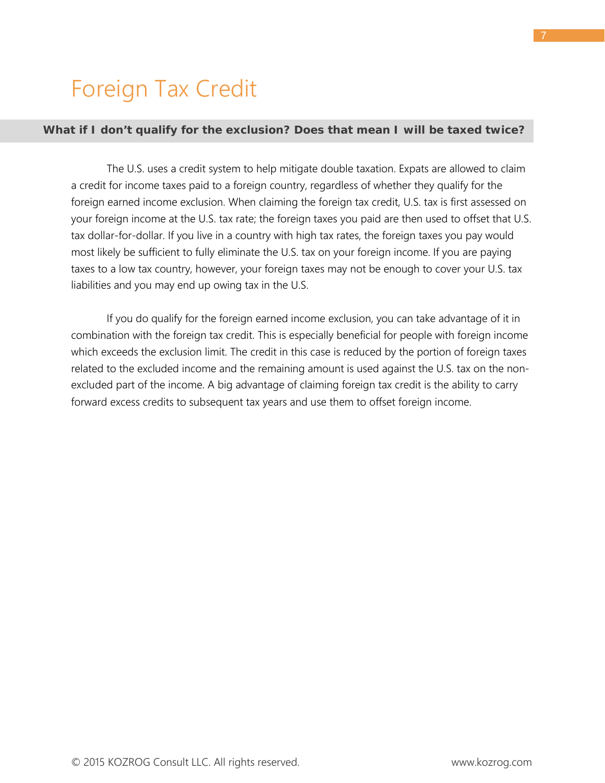### <span id="page-7-0"></span>Foreign Tax Credit

### *What if I don't qualify for the exclusion? Does that mean I will be taxed twice?*

The U.S. uses a credit system to help mitigate double taxation. Expats are allowed to claim a credit for income taxes paid to a foreign country, regardless of whether they qualify for the foreign earned income exclusion. When claiming the foreign tax credit, U.S. tax is first assessed on your foreign income at the U.S. tax rate; the foreign taxes you paid are then used to offset that U.S. tax dollar-for-dollar. If you live in a country with high tax rates, the foreign taxes you pay would most likely be sufficient to fully eliminate the U.S. tax on your foreign income. If you are paying taxes to a low tax country, however, your foreign taxes may not be enough to cover your U.S. tax liabilities and you may end up owing tax in the U.S.

If you do qualify for the foreign earned income exclusion, you can take advantage of it in combination with the foreign tax credit. This is especially beneficial for people with foreign income which exceeds the exclusion limit. The credit in this case is reduced by the portion of foreign taxes related to the excluded income and the remaining amount is used against the U.S. tax on the nonexcluded part of the income. A big advantage of claiming foreign tax credit is the ability to carry forward excess credits to subsequent tax years and use them to offset foreign income.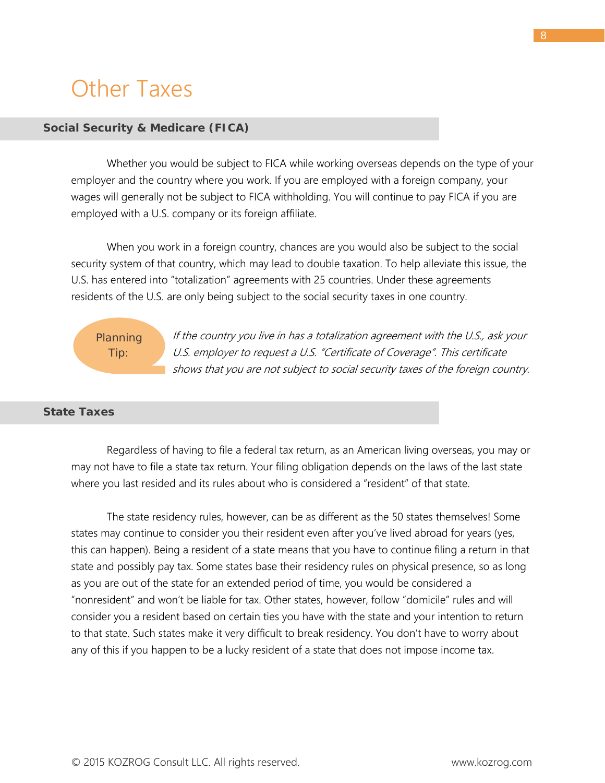## <span id="page-8-0"></span>Other Taxes

### *Social Security & Medicare (FICA)*

<span id="page-8-1"></span>Whether you would be subject to FICA while working overseas depends on the type of your employer and the country where you work. If you are employed with a foreign company, your wages will generally not be subject to FICA withholding. You will continue to pay FICA if you are employed with a U.S. company or its foreign affiliate.

When you work in a foreign country, chances are you would also be subject to the social security system of that country, which may lead to double taxation. To help alleviate this issue, the U.S. has entered into "totalization" agreements with 25 countries. Under these agreements residents of the U.S. are only being subject to the social security taxes in one country.

## Tip:

Planning

If the country you live in has a totalization agreement with the U.S., ask your U.S. employer to request a U.S. "Certificate of Coverage". This certificate shows that you are not subject to social security taxes of the foreign country.

### *State Taxes*

<span id="page-8-2"></span>Regardless of having to file a federal tax return, as an American living overseas, you may or may not have to file a state tax return. Your filing obligation depends on the laws of the last state where you last resided and its rules about who is considered a "resident" of that state.

The state residency rules, however, can be as different as the 50 states themselves! Some states may continue to consider you their resident even after you've lived abroad for years (yes, this can happen). Being a resident of a state means that you have to continue filing a return in that state and possibly pay tax. Some states base their residency rules on physical presence, so as long as you are out of the state for an extended period of time, you would be considered a "nonresident" and won't be liable for tax. Other states, however, follow "domicile" rules and will consider you a resident based on certain ties you have with the state and your intention to return to that state. Such states make it very difficult to break residency. You don't have to worry about any of this if you happen to be a lucky resident of a state that does not impose income tax.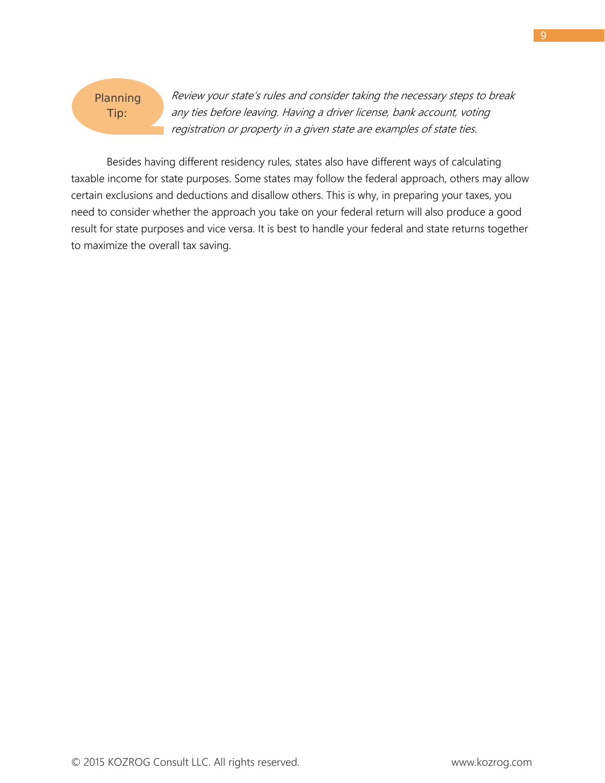

Review your state's rules and consider taking the necessary steps to break any ties before leaving. Having a driver license, bank account, voting registration or property in a given state are examples of state ties.

Besides having different residency rules, states also have different ways of calculating taxable income for state purposes. Some states may follow the federal approach, others may allow certain exclusions and deductions and disallow others. This is why, in preparing your taxes, you need to consider whether the approach you take on your federal return will also produce a good result for state purposes and vice versa. It is best to handle your federal and state returns together to maximize the overall tax saving.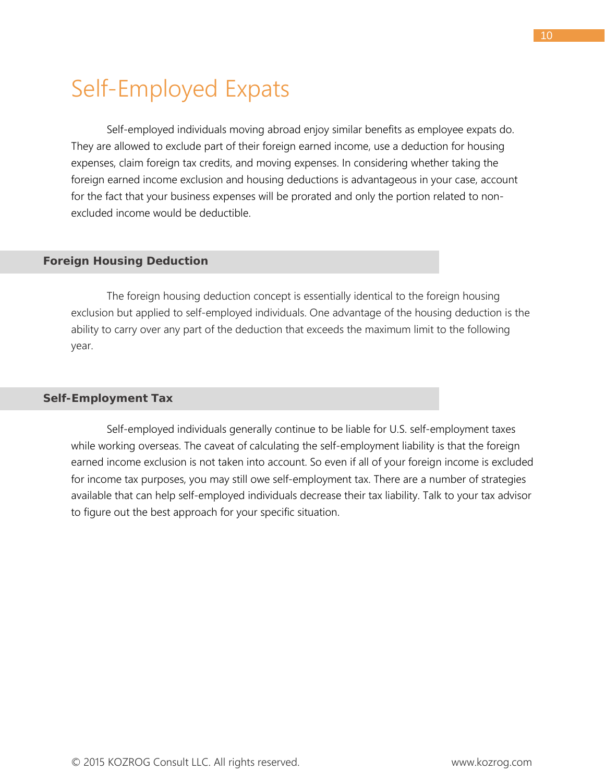## <span id="page-10-0"></span>Self-Employed Expats

Self-employed individuals moving abroad enjoy similar benefits as employee expats do. They are allowed to exclude part of their foreign earned income, use a deduction for housing expenses, claim foreign tax credits, and moving expenses. In considering whether taking the foreign earned income exclusion and housing deductions is advantageous in your case, account for the fact that your business expenses will be prorated and only the portion related to nonexcluded income would be deductible.

### *Foreign Housing Deduction*

The foreign housing deduction concept is essentially identical to the foreign housing exclusion but applied to self-employed individuals. One advantage of the housing deduction is the ability to carry over any part of the deduction that exceeds the maximum limit to the following year.

#### *Self-Employment Tax*

Self-employed individuals generally continue to be liable for U.S. self-employment taxes while working overseas. The caveat of calculating the self-employment liability is that the foreign earned income exclusion is not taken into account. So even if all of your foreign income is excluded for income tax purposes, you may still owe self-employment tax. There are a number of strategies available that can help self-employed individuals decrease their tax liability. Talk to your tax advisor to figure out the best approach for your specific situation.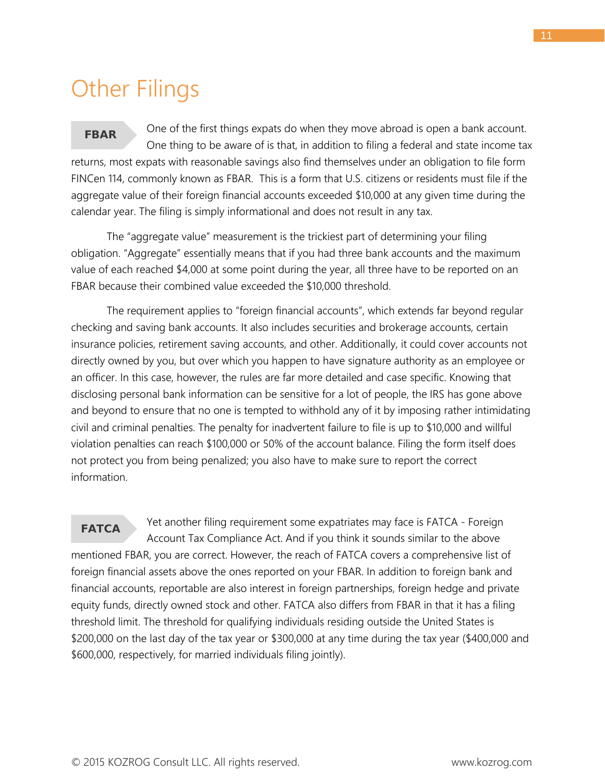### <span id="page-11-0"></span>Other Filings

<span id="page-11-1"></span>One of the first things expats do when they move abroad is open a bank account. One thing to be aware of is that, in addition to filing a federal and state income tax returns, most expats with reasonable savings also find themselves under an obligation to file form FINCen 114, commonly known as FBAR. This is a form that U.S. citizens or residents must file if the aggregate value of their foreign financial accounts exceeded \$10,000 at any given time during the calendar year. The filing is simply informational and does not result in any tax. **FBAR**

The "aggregate value" measurement is the trickiest part of determining your filing obligation. "Aggregate" essentially means that if you had three bank accounts and the maximum value of each reached \$4,000 at some point during the year, all three have to be reported on an FBAR because their combined value exceeded the \$10,000 threshold.

The requirement applies to "foreign financial accounts", which extends far beyond regular checking and saving bank accounts. It also includes securities and brokerage accounts, certain insurance policies, retirement saving accounts, and other. Additionally, it could cover accounts not directly owned by you, but over which you happen to have signature authority as an employee or an officer. In this case, however, the rules are far more detailed and case specific. Knowing that disclosing personal bank information can be sensitive for a lot of people, the IRS has gone above and beyond to ensure that no one is tempted to withhold any of it by imposing rather intimidating civil and criminal penalties. The penalty for inadvertent failure to file is up to \$10,000 and willful violation penalties can reach \$100,000 or 50% of the account balance. Filing the form itself does not protect you from being penalized; you also have to make sure to report the correct information.

<span id="page-11-2"></span>Yet another filing requirement some expatriates may face is FATCA - Foreign Account Tax Compliance Act. And if you think it sounds similar to the above mentioned FBAR, you are correct. However, the reach of FATCA covers a comprehensive list of foreign financial assets above the ones reported on your FBAR. In addition to foreign bank and financial accounts, reportable are also interest in foreign partnerships, foreign hedge and private equity funds, directly owned stock and other. FATCA also differs from FBAR in that it has a filing threshold limit. The threshold for qualifying individuals residing outside the United States is \$200,000 on the last day of the tax year or \$300,000 at any time during the tax year (\$400,000 and \$600,000, respectively, for married individuals filing jointly). **FATCA**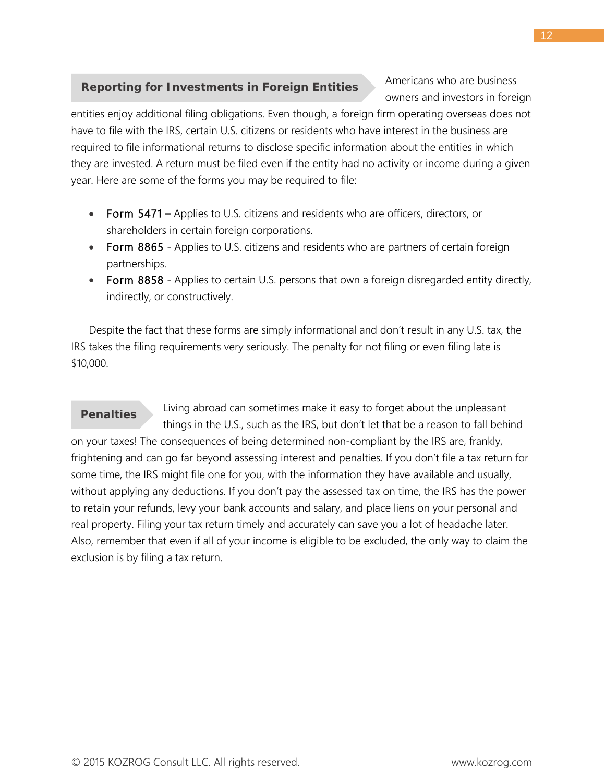### <span id="page-12-0"></span>**Reporting for Investments in Foreign Entities**

Americans who are business owners and investors in foreign

entities enjoy additional filing obligations. Even though, a foreign firm operating overseas does not have to file with the IRS, certain U.S. citizens or residents who have interest in the business are required to file informational returns to disclose specific information about the entities in which they are invested. A return must be filed even if the entity had no activity or income during a given year. Here are some of the forms you may be required to file:

- Form 5471 Applies to U.S. citizens and residents who are officers, directors, or shareholders in certain foreign corporations.
- Form 8865 Applies to U.S. citizens and residents who are partners of certain foreign partnerships.
- Form 8858 Applies to certain U.S. persons that own a foreign disregarded entity directly, indirectly, or constructively.

Despite the fact that these forms are simply informational and don't result in any U.S. tax, the IRS takes the filing requirements very seriously. The penalty for not filing or even filing late is \$10,000.

<span id="page-12-1"></span>Living abroad can sometimes make it easy to forget about the unpleasant things in the U.S., such as the IRS, but don't let that be a reason to fall behind on your taxes! The consequences of being determined non-compliant by the IRS are, frankly, frightening and can go far beyond assessing interest and penalties. If you don't file a tax return for some time, the IRS might file one for you, with the information they have available and usually, without applying any deductions. If you don't pay the assessed tax on time, the IRS has the power to retain your refunds, levy your bank accounts and salary, and place liens on your personal and real property. Filing your tax return timely and accurately can save you a lot of headache later. Also, remember that even if all of your income is eligible to be excluded, the only way to claim the exclusion is by filing a tax return. **Penalties**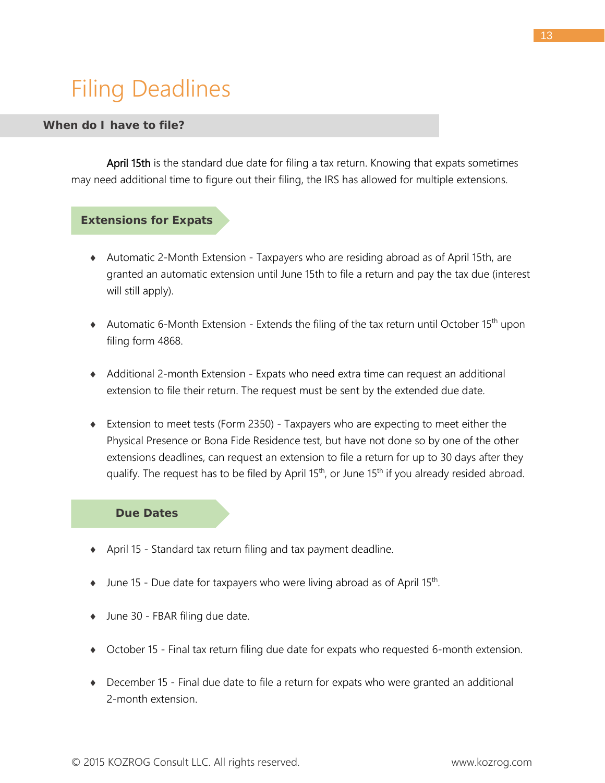# <span id="page-13-0"></span>Filing Deadlines

### *When do I have to file?*

April 15th is the standard due date for filing a tax return. Knowing that expats sometimes may need additional time to figure out their filing, the IRS has allowed for multiple extensions.

### **Extensions for Expats**

- <span id="page-13-1"></span>♦ Automatic 2-Month Extension - Taxpayers who are residing abroad as of April 15th, are granted an automatic extension until June 15th to file a return and pay the tax due (interest will still apply).
- $\triangleq$  Automatic 6-Month Extension Extends the filing of the tax return until October 15<sup>th</sup> upon filing form 4868.
- ♦ Additional 2-month Extension Expats who need extra time can request an additional extension to file their return. The request must be sent by the extended due date.
- ♦ Extension to meet tests (Form 2350) Taxpayers who are expecting to meet either the Physical Presence or Bona Fide Residence test, but have not done so by one of the other extensions deadlines, can request an extension to file a return for up to 30 days after they qualify. The request has to be filed by April  $15<sup>th</sup>$ , or June  $15<sup>th</sup>$  if you already resided abroad.

#### <span id="page-13-2"></span>**Due Dates**

- ♦ April 15 Standard tax return filing and tax payment deadline.
- $\bullet$  June 15 Due date for taxpayers who were living abroad as of April 15<sup>th</sup>.
- ♦ June 30 FBAR filing due date.
- ♦ October 15 Final tax return filing due date for expats who requested 6-month extension.
- ♦ December 15 Final due date to file a return for expats who were granted an additional 2-month extension.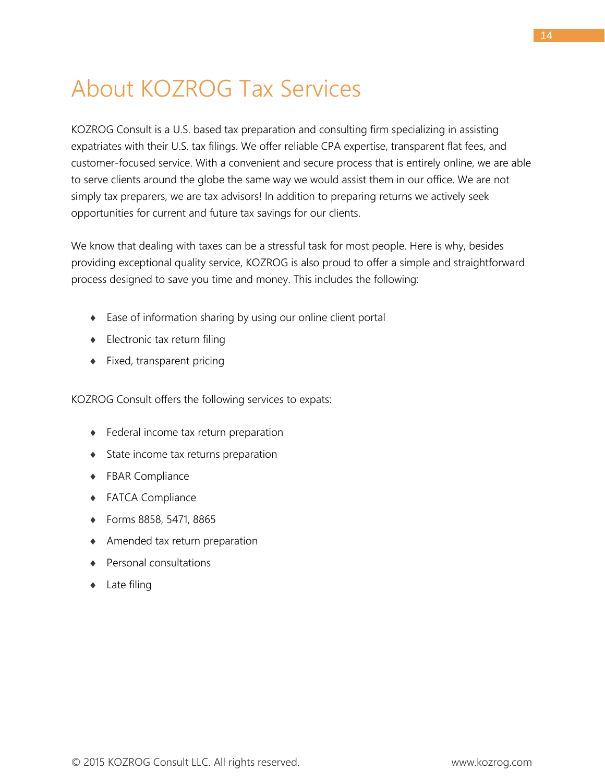## <span id="page-14-0"></span>About KOZROG Tax Services

KOZROG Consult is a U.S. based tax preparation and consulting firm specializing in assisting expatriates with their U.S. tax filings. We offer reliable CPA expertise, transparent flat fees, and customer-focused service. With a convenient and secure process that is entirely online, we are able to serve clients around the globe the same way we would assist them in our office. We are not simply tax preparers, we are tax advisors! In addition to preparing returns we actively seek opportunities for current and future tax savings for our clients.

We know that dealing with taxes can be a stressful task for most people. Here is why, besides providing exceptional quality service, KOZROG is also proud to offer a simple and straightforward process designed to save you time and money. This includes the following:

- ♦ Ease of information sharing by using our online client portal
- ♦ Electronic tax return filing
- ♦ Fixed, transparent pricing

KOZROG Consult offers the following services to expats:

- ♦ Federal income tax return preparation
- ♦ State income tax returns preparation
- ♦ FBAR Compliance
- ♦ FATCA Compliance
- ♦ Forms 8858, 5471, 8865
- ♦ Amended tax return preparation
- ♦ Personal consultations
- ♦ Late filing